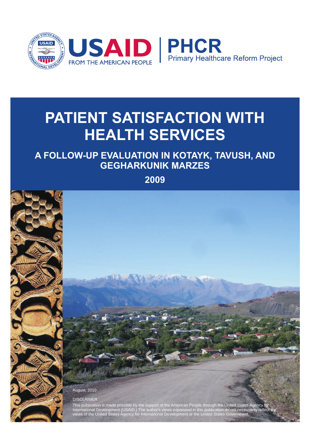

# **PATIENT SATISFACTION WITH HEALTH SERVICES**

# **A FOLLOW-UP EVALUATION IN KOTAYK, TAVUSH, AND GEGHARKUNIK MARZES**

**2009**

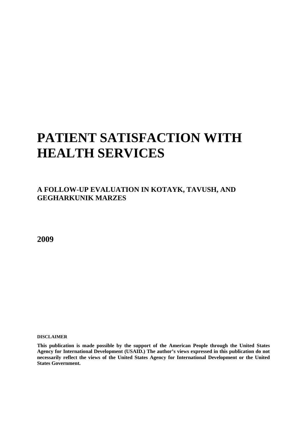# **PATIENT SATISFACTION WITH HEALTH SERVICES**

**A FOLLOW-UP EVALUATION IN KOTAYK, TAVUSH, AND GEGHARKUNIK MARZES** 

**2009** 

**DISCLAIMER** 

**This publication is made possible by the support of the American People through the United States Agency for International Development (USAID.) The author's views expressed in this publication do not necessarily reflect the views of the United States Agency for International Development or the United States Government.**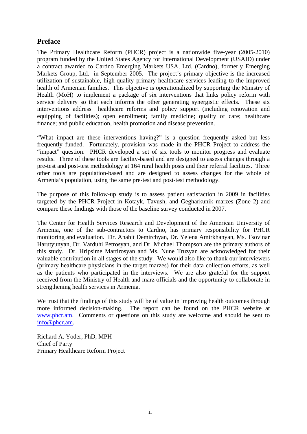## <span id="page-2-0"></span>**Preface**

The Primary Healthcare Reform (PHCR) project is a nationwide five-year (2005-2010) program funded by the United States Agency for International Development (USAID) under a contract awarded to Cardno Emerging Markets USA, Ltd. (Cardno), formerly [Emerging](http://www.emergingmarketsgroup.com/)  [Markets Group, Ltd.](http://www.emergingmarketsgroup.com/) in September 2005. The project's primary objective is the increased utilization of sustainable, high-quality primary healthcare services leading to the improved health of Armenian families. This objective is operationalized by supporting the Ministry of Health (MoH) to implement a package of six interventions that links policy reform with service delivery so that each informs the other generating synergistic effects. These six interventions address healthcare reforms and policy support (including renovation and equipping of facilities); open enrollment; family medicine; quality of care; healthcare finance; and public education, health promotion and disease prevention.

"What impact are these interventions having?" is a question frequently asked but less frequently funded. Fortunately, provision was made in the PHCR Project to address the "impact" question. PHCR developed a set of six tools to monitor progress and evaluate results. Three of these tools are facility-based and are designed to assess changes through a pre-test and post-test methodology at 164 rural health posts and their referral facilities. Three other tools are population-based and are designed to assess changes for the whole of Armenia's population, using the same pre-test and post-test methodology.

The purpose of this follow-up study is to assess patient satisfaction in 2009 in facilities targeted by the PHCR Project in Kotayk, Tavush, and Gegharkunik marzes (Zone 2) and compare these findings with those of the baseline survey conducted in 2007.

The Center for Health Services Research and Development of the American University of Armenia, one of the sub-contractors to Cardno, has primary responsibility for PHCR monitoring and evaluation. Dr. Anahit Demirchyan, Dr. Yelena Amirkhanyan, Ms. Tsovinar Harutyunyan, Dr. Varduhi Petrosyan, and Dr. Michael Thompson are the primary authors of this study. Dr. Hripsime Martirosyan and Ms. Nune Truzyan are acknowledged for their valuable contribution in all stages of the study. We would also like to thank our interviewers (primary healthcare physicians in the target marzes) for their data collection efforts, as well as the patients who participated in the interviews. We are also grateful for the support received from the Ministry of Health and marz officials and the opportunity to collaborate in strengthening health services in Armenia.

We trust that the findings of this study will be of value in improving health outcomes through more informed decision-making. The report can be found on the PHCR website at [www.phcr.am.](http://www.phcr.am/) Comments or questions on this study are welcome and should be sent to [info@phcr.am](mailto:info@phcr.am).

Richard A. Yoder, PhD, MPH Chief of Party Primary Healthcare Reform Project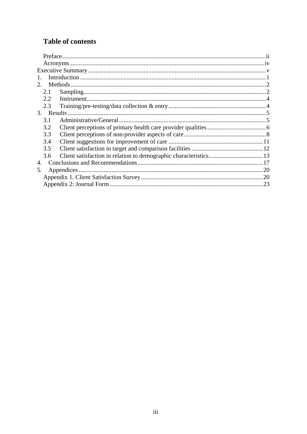## **Table of contents**

| 2.  |  |
|-----|--|
| 2.1 |  |
| 2.2 |  |
| 2.3 |  |
|     |  |
| 3.1 |  |
| 3.2 |  |
| 3.3 |  |
| 3.4 |  |
| 3.5 |  |
| 3.6 |  |
| 4.  |  |
| 5.  |  |
|     |  |
|     |  |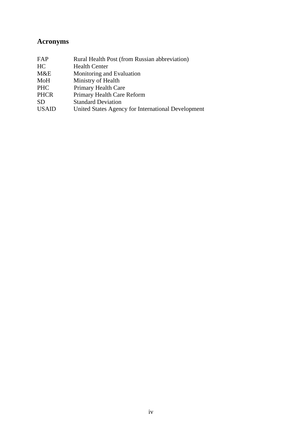## <span id="page-4-0"></span>**Acronyms**

| FAP          | Rural Health Post (from Russian abbreviation)      |
|--------------|----------------------------------------------------|
| HC           | <b>Health Center</b>                               |
| M&E          | Monitoring and Evaluation                          |
| MoH          | Ministry of Health                                 |
| <b>PHC</b>   | Primary Health Care                                |
| <b>PHCR</b>  | Primary Health Care Reform                         |
| <b>SD</b>    | <b>Standard Deviation</b>                          |
| <b>USAID</b> | United States Agency for International Development |
|              |                                                    |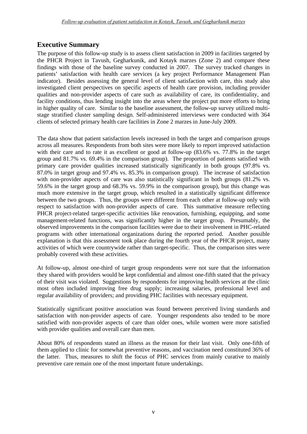## <span id="page-5-0"></span>**Executive Summary**

The purpose of this follow-up study is to assess client satisfaction in 2009 in facilities targeted by the PHCR Project in Tavush, Gegharkunik, and Kotayk marzes (Zone 2) and compare these findings with those of the baseline survey conducted in 2007. The survey tracked changes in patients' satisfaction with health care services (a key project Performance Management Plan indicator). Besides assessing the general level of client satisfaction with care, this study also investigated client perspectives on specific aspects of health care provision, including provider qualities and non-provider aspects of care such as availability of care, its confidentiality, and facility conditions, thus lending insight into the areas where the project put more efforts to bring in higher quality of care. Similar to the baseline assessment, the follow-up survey utilized multistage stratified cluster sampling design. Self-administered interviews were conducted with 364 clients of selected primary health care facilities in Zone 2 marzes in June-July 2009.

The data show that patient satisfaction levels increased in both the target and comparison groups across all measures. Respondents from both sites were more likely to report improved satisfaction with their care and to rate it as excellent or good at follow-up (83.6% vs. 77.8% in the target group and 81.7% vs. 69.4% in the comparison group). The proportion of patients satisfied with primary care provider qualities increased statistically significantly in both groups (97.8% vs. 87.0% in target group and 97.4% vs. 85.3% in comparison group). The increase of satisfaction with non-provider aspects of care was also statistically significant in both groups (81.2% vs. 59.6% in the target group and 68.3% vs. 59.9% in the comparison group), but this change was much more extensive in the target group, which resulted in a statistically significant difference between the two groups. Thus, the groups were different from each other at follow-up only with respect to satisfaction with non-provider aspects of care. This summative measure reflecting PHCR project-related target-specific activities like renovation, furnishing, equipping, and some management-related functions, was significantly higher in the target group. Presumably, the observed improvements in the comparison facilities were due to their involvement in PHC-related programs with other international organizations during the reported period. Another possible explanation is that this assessment took place during the fourth year of the PHCR project, many activities of which were countrywide rather than target-specific. Thus, the comparison sites were probably covered with these activities.

At follow-up, almost one-third of target group respondents were not sure that the information they shared with providers would be kept confidential and almost one-fifth stated that the privacy of their visit was violated. Suggestions by respondents for improving health services at the clinic most often included improving free drug supply; increasing salaries, professional level and regular availability of providers; and providing PHC facilities with necessary equipment.

Statistically significant positive association was found between perceived living standards and satisfaction with non-provider aspects of care. Younger respondents also tended to be more satisfied with non-provider aspects of care than older ones, while women were more satisfied with provider qualities and overall care than men.

About 80% of respondents stated an illness as the reason for their last visit. Only one-fifth of them applied to clinic for somewhat preventive reasons, and vaccination need constituted 36% of the latter. Thus, measures to shift the focus of PHC services from mainly curative to mainly preventive care remain one of the most important future undertakings.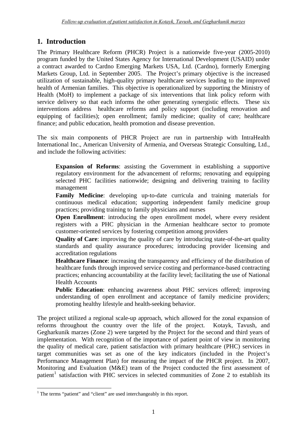## <span id="page-6-0"></span>**1. Introduction**

The Primary Healthcare Reform (PHCR) Project is a nationwide five-year (2005-2010) program funded by the United States Agency for International Development (USAID) under a contract awarded to Cardno Emerging Markets USA, Ltd. (Cardno), formerly [Emerging](http://www.emergingmarketsgroup.com/)  [Markets Group, Ltd.](http://www.emergingmarketsgroup.com/) in September 2005. The Project's primary objective is the increased utilization of sustainable, high-quality primary healthcare services leading to the improved health of Armenian families. This objective is operationalized by supporting the Ministry of Health (MoH) to implement a package of six interventions that link policy reform with service delivery so that each informs the other generating synergistic effects. These six interventions address healthcare reforms and policy support (including renovation and equipping of facilities); open enrollment; family medicine; quality of care; healthcare finance; and public education, health promotion and disease prevention.

The six main components of PHCR Project are run in partnership with IntraHealth International Inc., American University of Armenia, and Overseas Strategic Consulting, Ltd., and include the following activities:

**Expansion of Reforms**: assisting the Government in establishing a supportive regulatory environment for the advancement of reforms; renovating and equipping selected PHC facilities nationwide; designing and delivering training to facility management

**Family Medicine**: developing up-to-date curricula and training materials for continuous medical education; supporting independent family medicine group practices; providing training to family physicians and nurses

**Open Enrollment:** introducing the open enrollment model, where every resident registers with a PHC physician in the Armenian healthcare sector to promote customer-oriented services by fostering competition among providers

**Quality of Care**: improving the quality of care by introducing state-of-the-art quality standards and quality assurance procedures; introducing provider licensing and accreditation regulations

**Healthcare Finance**: increasing the transparency and efficiency of the distribution of healthcare funds through improved service costing and performance-based contracting practices; enhancing accountability at the facility level; facilitating the use of National Health Accounts

**Public Education**: enhancing awareness about PHC services offered; improving understanding of open enrollment and acceptance of family medicine providers; promoting healthy lifestyle and health-seeking behavior.

The project utilized a regional scale-up approach, which allowed for the zonal expansion of reforms throughout the country over the life of the project. Kotayk, Tavush, and Gegharkunik marzes (Zone 2) were targeted by the Project for the second and third years of implementation. With recognition of the importance of patient point of view in monitoring the quality of medical care, patient satisfaction with primary healthcare (PHC) services in target communities was set as one of the key indicators (included in the Project's Performance Management Plan) for measuring the impact of the PHCR project. In 2007, Monitoring and Evaluation (M&E) team of the Project conducted the first assessment of patient<sup>[1](#page-6-1)</sup> satisfaction with PHC services in selected communities of Zone 2 to establish its

<span id="page-6-1"></span> 1 The terms "patient" and "client" are used interchangeably in this report.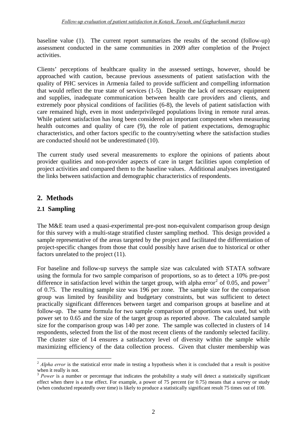baseline value (1). The current report summarizes the results of the second (follow-up) assessment conducted in the same communities in 2009 after completion of the Project activities.

Clients' perceptions of healthcare quality in the assessed settings, however, should be approached with caution, because previous assessments of patient satisfaction with the quality of PHC services in Armenia failed to provide sufficient and compelling information that would reflect the true state of services (1-5). Despite the lack of necessary equipment and supplies, inadequate communication between health care providers and clients, and extremely poor physical conditions of facilities (6-8), the levels of patient satisfaction with care remained high, even in most underprivileged populations living in remote rural areas. While patient satisfaction has long been considered an important component when measuring health outcomes and quality of care (9), the role of patient expectations, demographic characteristics, and other factors specific to the country/setting where the satisfaction studies are conducted should not be underestimated (10).

The current study used several measurements to explore the opinions of patients about provider qualities and non-provider aspects of care in target facilities upon completion of project activities and compared them to the baseline values. Additional analyses investigated the links between satisfaction and demographic characteristics of respondents.

## <span id="page-7-0"></span>**2. Methods**

## <span id="page-7-1"></span>**2.1 Sampling**

1

The M&E team used a quasi-experimental pre-post non-equivalent comparison group design for this survey with a multi-stage stratified cluster sampling method. This design provided a sample representative of the areas targeted by the project and facilitated the differentiation of project-specific changes from those that could possibly have arisen due to historical or other factors unrelated to the project (11).

For baseline and follow-up surveys the sample size was calculated with STATA software using the formula for two sample comparison of proportions, so as to detect a 10% pre-post difference in satisfaction level within the target group, with alpha error<sup>[2](#page-7-2)</sup> of 0.05, and power<sup>[3](#page-7-3)</sup> of 0.75. The resulting sample size was 196 per zone. The sample size for the comparison group was limited by feasibility and budgetary constraints, but was sufficient to detect practically significant differences between target and comparison groups at baseline and at follow-up. The same formula for two sample comparison of proportions was used, but with power set to 0.65 and the size of the target group as reported above. The calculated sample size for the comparison group was 140 per zone. The sample was collected in clusters of 14 respondents, selected from the list of the most recent clients of the randomly selected facility. The cluster size of 14 ensures a satisfactory level of diversity within the sample while maximizing efficiency of the data collection process. Given that cluster membership was

<span id="page-7-2"></span> $2$  *Alpha error* is the statistical error made in [testing](http://www.mondofacto.com/facts/dictionary?testing) a [hypothesis](http://www.mondofacto.com/facts/dictionary?hypothesis) when it is concluded that a [result](http://www.mondofacto.com/facts/dictionary?result) is [positive](http://www.mondofacto.com/facts/dictionary?positive) when it really is not.<br><sup>3</sup> *Power* is a number or [percentage](http://www.businessdictionary.com/definition/percentage.html) that indicates the [probability](http://www.businessdictionary.com/definition/probability.html) a [study](http://www.businessdictionary.com/definition/study.html) will detect a [statistically significant](http://www.businessdictionary.com/definition/statistically-significant.html)

<span id="page-7-3"></span>effect when there is a true effect. For example, a [power](http://www.businessdictionary.com/definition/power.html) of 75 [percent](http://www.businessdictionary.com/definition/percent.html) (or 0.75) [means](http://www.businessdictionary.com/definition/mean.html) that a [survey](http://www.businessdictionary.com/definition/survey.html) or study (when conducted repeatedly over time) is likely to [produce](http://www.businessdictionary.com/definition/produce.html) a statistically significant [result](http://www.businessdictionary.com/definition/result.html) 75 times out of 100.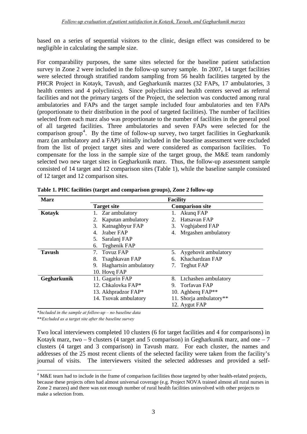based on a series of sequential visitors to the clinic, design effect was considered to be negligible in calculating the sample size.

For comparability purposes, the same sites selected for the baseline patient satisfaction survey in Zone 2 were included in the follow-up survey sample. In 2007, 14 target facilities were selected through stratified random sampling from 56 health facilities targeted by the PHCR Project in Kotayk, Tavush, and Gegharkunik marzes (32 FAPs, 17 ambulatories, 3 health centers and 4 polyclinics). Since polyclinics and health centers served as referral facilities and not the primary targets of the Project, the selection was conducted among rural ambulatories and FAPs and the target sample included four ambulatories and ten FAPs (proportionate to their distribution in the pool of targeted facilities). The number of facilities selected from each marz also was proportionate to the number of facilities in the general pool of all targeted facilities. Three ambulatories and seven FAPs were selected for the comparison group<sup>[4](#page-8-0)</sup>. By the time of follow-up survey, two target facilities in Gegharkunik marz (an ambulatory and a FAP) initially included in the baseline assessment were excluded from the list of project target sites and were considered as comparison facilities. To compensate for the loss in the sample size of the target group, the M&E team randomly selected two new target sites in Gegharkunik marz. Thus, the follow-up assessment sample consisted of 14 target and 12 comparison sites (Table 1), while the baseline sample consisted of 12 target and 12 comparison sites.

| <b>Marz</b>   |                          | <b>Facility</b>         |
|---------------|--------------------------|-------------------------|
|               | <b>Target site</b>       | <b>Comparison site</b>  |
| Kotayk        | Zar ambulatory           | Akung FAP               |
|               | Kaputan ambulatory       | Hatsavan FAP            |
|               | Katnaghbyur FAP<br>3.    | 3. Voghjaberd FAP       |
|               | Jraber FAP               | Mrgashen ambulatory     |
|               | Saralanj FAP<br>5.       |                         |
|               | Teghenik FAP<br>6.       |                         |
| <b>Tavush</b> | Tovuz FAP<br>7.          | 5. Aygehovit ambulatory |
|               | Tsaghkavan FAP<br>8.     | Khachardzan FAP<br>6.   |
|               | 9. Haghartsin ambulatory | Teghut FAP<br>7.        |
|               | 10. Hovg FAP             |                         |
| Gegharkunik   | 11. Gagarin FAP          | 8. Ltchashen ambulatory |
|               | 12. Chkalovka FAP*       | Torfavan FAP            |
|               | 13. Akhpradzor FAP*      | 10. Aghberg FAP**       |
|               | 14. Tsovak ambulatory    | 11. Shorja ambulatory** |
|               |                          | 12. Aygut FAP           |

**Table 1. PHC facilities (target and comparison groups), Zone 2 follow-up** 

\**Included in the sample at follow-up – no baseline data* 

\*\**Excluded as a target site after the baseline survey* 

1

Two local interviewers completed 10 clusters (6 for target facilities and 4 for comparisons) in Kotayk marz, two  $-9$  clusters (4 target and 5 comparison) in Gegharkunik marz, and one  $-7$ clusters (4 target and 3 comparison) in Tavush marz. For each cluster, the names and addresses of the 25 most recent clients of the selected facility were taken from the facility's journal of visits. The interviewers visited the selected addresses and provided a self-

<span id="page-8-0"></span> $4$  M&E team had to include in the frame of comparison facilities those targeted by other health-related projects, because these projects often had almost universal coverage (e.g. Project NOVA trained almost all rural nurses in Zone 2 marzes) and there was not enough number of rural health facilities uninvolved with other projects to make a selection from.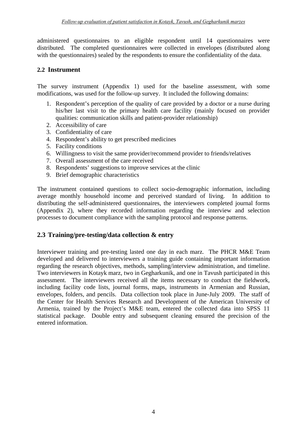administered questionnaires to an eligible respondent until 14 questionnaires were distributed. The completed questionnaires were collected in envelopes (distributed along with the questionnaires) sealed by the respondents to ensure the confidentiality of the data.

#### <span id="page-9-0"></span>**2.2 Instrument**

The survey instrument (Appendix 1) used for the baseline assessment, with some modifications, was used for the follow-up survey. It included the following domains:

- 1. Respondent's perception of the quality of care provided by a doctor or a nurse during his/her last visit to the primary health care facility (mainly focused on provider qualities: communication skills and patient-provider relationship)
- 2. Accessibility of care
- 3. Confidentiality of care
- 4. Respondent's ability to get prescribed medicines
- 5. Facility conditions
- 6. Willingness to visit the same provider/recommend provider to friends/relatives
- 7. Overall assessment of the care received
- 8. Respondents' suggestions to improve services at the clinic
- 9. Brief demographic characteristics

The instrument contained questions to collect socio-demographic information, including average monthly household income and perceived standard of living. In addition to distributing the self-administered questionnaires, the interviewers completed journal forms (Appendix 2), where they recorded information regarding the interview and selection processes to document compliance with the sampling protocol and response patterns.

## <span id="page-9-1"></span>**2.3 Training/pre-testing/data collection & entry**

Interviewer training and pre-testing lasted one day in each marz. The PHCR M&E Team developed and delivered to interviewers a training guide containing important information regarding the research objectives, methods, sampling/interview administration, and timeline. Two interviewers in Kotayk marz, two in Gegharkunik, and one in Tavush participated in this assessment. The interviewers received all the items necessary to conduct the fieldwork, including facility code lists, journal forms, maps, instruments in Armenian and Russian, envelopes, folders, and pencils. Data collection took place in June-July 2009. The staff of the Center for Health Services Research and Development of the American University of Armenia, trained by the Project's M&E team, entered the collected data into SPSS 11 statistical package. Double entry and subsequent cleaning ensured the precision of the entered information.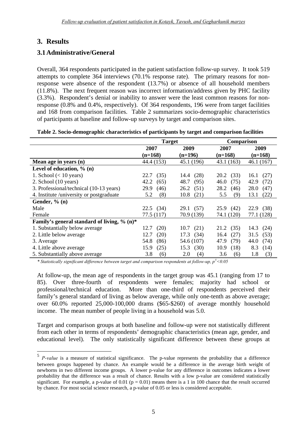## <span id="page-10-0"></span>**3. Results**

1

## <span id="page-10-1"></span>**3.1Administrative/General**

Overall, 364 respondents participated in the patient satisfaction follow-up survey. It took 519 attempts to complete 364 interviews (70.1% response rate). The primary reasons for nonresponse were absence of the respondent (13.7%) or absence of all household members (11.8%). The next frequent reason was incorrect information/address given by PHC facility (3.3%). Respondent's denial or inability to answer were the least common reasons for nonresponse (0.8% and 0.4%, respectively). Of 364 respondents, 196 were from target facilities and 168 from comparison facilities. Table 2 summarizes socio-demographic characteristics of participants at baseline and follow-up surveys by target and comparison sites.

| Table 2. Socio-demographic characteristics of participants by target and comparison facilities |  |  |  |
|------------------------------------------------------------------------------------------------|--|--|--|
|------------------------------------------------------------------------------------------------|--|--|--|

|                                                | <b>Target</b> |              | <b>Comparison</b> |              |  |
|------------------------------------------------|---------------|--------------|-------------------|--------------|--|
|                                                | 2007          | 2009         | 2007              | 2009         |  |
|                                                | $(n=168)$     | $(n=196)$    | $(n=168)$         | $(n=168)$    |  |
| Mean age in years (n)                          | 44.4 (153)    | 45.1 (196)   | 43.1 (163)        | 46.1(167)    |  |
| Level of education, $\%$ (n)                   |               |              |                   |              |  |
| 1. School $(< 10$ years)                       | (35)<br>22.7  | (28)<br>14.4 | 20.2<br>(33)      | (27)<br>16.1 |  |
| 2. School (10 years)                           | 42.2<br>(65)  | 48.7<br>(95) | 46.0<br>(75)      | 42.9<br>(72) |  |
| 3. Professional/technical (10-13 years)        | 29.9<br>(46)  | 26.2<br>(51) | 28.2<br>(46)      | 28.0<br>(47) |  |
| 4. Institute /university or postgraduate       | (8)<br>5.2    | 10.8<br>(21) | (9)<br>5.5        | (22)<br>13.1 |  |
| Gender, $\%$ (n)                               |               |              |                   |              |  |
| Male                                           | $22.5$ (34)   | 29.1 (57)    | 25.9<br>(42)      | 22.9<br>(38) |  |
| Female                                         | 77.5 (117)    | 70.9 (139)   | 74.1 (120)        | 77.1 (128)   |  |
| Family's general standard of living, $\%$ (n)* |               |              |                   |              |  |
| 1. Substantially below average                 | (20)<br>12.7  | 10.7(21)     | 21.2<br>(35)      | 14.3<br>(24) |  |
| 2. Little below average                        | 12.7<br>(20)  | 17.3<br>(34) | (27)<br>16.4      | (53)<br>31.5 |  |
| 3. Average                                     | 54.8<br>(86)  | 54.6 (107)   | 47.9<br>(79)      | 44.0<br>(74) |  |
| 4. Little above average                        | 15.9<br>(25)  | 15.3<br>(30) | 10.9<br>(18)      | 8.3<br>(14)  |  |
| 5. Substantially above average                 | 3.8<br>(6)    | (4)<br>2.0   | 3.6<br>(6)        | 1.8<br>(3)   |  |

*\* Statistically significant difference between target and comparison respondents at follow-up, p[5](#page-10-2) <0.05* 

At follow-up, the mean age of respondents in the target group was 45.1 (ranging from 17 to 85). Over three-fourth of respondents were females; majority had school or professional/technical education. More than one-third of respondents perceived their family's general standard of living as below average, while only one-tenth as above average; over 60.0% reported 25,000-100,000 drams (\$65-\$260) of average monthly household income. The mean number of people living in a household was 5.0.

Target and comparison groups at both baseline and follow-up were not statistically different from each other in terms of respondents' demographic characteristics (mean age, gender, and educational level). The only statistically significant difference between these groups at

<span id="page-10-2"></span><sup>5</sup> *P-value* is a measure of statistical significance. The p-value represents the probability that a difference between groups happened by chance. An example would be a difference in the average birth weight of newborns in two different income groups. A lower p-value for any difference in outcomes indicates a lower probability that the difference was a result of chance. Results with a low p-value are considered statistically significant. For example, a p-value of 0.01 ( $p = 0.01$ ) means there is a 1 in 100 chance that the result occurred by chance. For most social science research, a p-value of 0.05 or less is considered acceptable.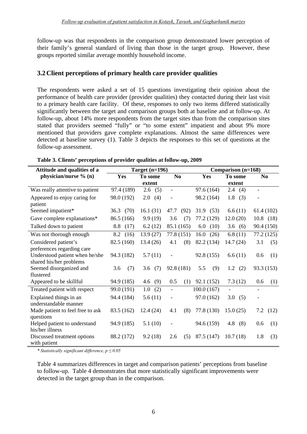follow-up was that respondents in the comparison group demonstrated lower perception of their family's general standard of living than those in the target group. However, these groups reported similar average monthly household income.

## <span id="page-11-0"></span>**3.2Client perceptions of primary health care provider qualities**

The respondents were asked a set of 15 questions investigating their opinion about the performance of health care provider (provider qualities) they contacted during their last visit to a primary health care facility. Of these, responses to only two items differed statistically significantly between the target and comparison groups both at baseline and at follow-up. At follow-up, about 14% more respondents from the target sites than from the comparison sites stated that providers seemed "fully" or "to some extent" impatient and about 9% more mentioned that providers gave complete explanations. Almost the same differences were detected at baseline survey (1). Table 3 depicts the responses to this set of questions at the follow-up assessment.

| Attitude and qualities of a      | Target $(n=196)$ |            |                          | Comparison (n=168) |            |                          |
|----------------------------------|------------------|------------|--------------------------|--------------------|------------|--------------------------|
| physician/nurse % (n)            | Yes              | To some    | N <sub>0</sub>           | Yes                | To some    | N <sub>0</sub>           |
|                                  |                  | extent     |                          |                    | extent     |                          |
| Was really attentive to patient  | 97.4 (189)       | 2.6(5)     | $\overline{\phantom{a}}$ | 97.6 (164)         | 2.4<br>(4) | $\overline{\phantom{a}}$ |
| Appeared to enjoy caring for     | 98.0 (192)       | 2.0<br>(4) |                          | 98.2 (164)         | 1.8<br>(3) |                          |
| patient                          |                  |            |                          |                    |            |                          |
| Seemed impatient*                | 36.3<br>(70)     | 16.1(31)   | 47.7<br>(92)             | 31.9<br>(53)       | 6.6(11)    | 61.4(102)                |
| Gave complete explanations*      | 86.5 (166)       | 9.9(19)    | (7)<br>3.6               | 77.2 (129)         | 12.0(20)   | $10.8$ (18)              |
| Talked down to patient           | 8.8<br>(17)      | 6.2(12)    | 85.1 (165)               | 6.0<br>(10)        | 3.6<br>(6) | 90.4 (150)               |
| Was not thorough enough          | 8.2<br>(16)      | 13.9(27)   | 77.8 (151)               | 16.0<br>(26)       | 6.8(11)    | 77.2 (125)               |
| Considered patient's             | 82.5 (160)       | 13.4(26)   | (8)<br>4.1               | 82.2 (134)         | 14.7(24)   | 3.1<br>(5)               |
| preferences regarding care       |                  |            |                          |                    |            |                          |
| Understood patient when he/she   | 94.3 (182)       | 5.7(11)    |                          | 92.8 (155)         | 6.6(11)    | 0.6<br>(1)               |
| shared his/her problems          |                  |            |                          |                    |            |                          |
| Seemed disorganized and          | 3.6<br>(7)       | 3.6 $(7)$  | 92.8 (181)               | 5.5<br>(9)         | 1.2<br>(2) | 93.3 (153)               |
| flustered                        |                  |            |                          |                    |            |                          |
| Appeared to be skillful          | 94.9 (185)       | 4.6<br>(9) | 0.5<br>(1)               | 92.1 (152)         | 7.3(12)    | 0.6<br>(1)               |
| Treated patient with respect     | 99.0 (191)       | 1.0(2)     | $\frac{1}{2}$            | 100.0(167)         |            | $\overline{\phantom{a}}$ |
| Explained things in an           | 94.4 (184)       | 5.6(11)    |                          | 97.0 (162)         | 3.0<br>(5) | $\overline{\phantom{0}}$ |
| understandable manner            |                  |            |                          |                    |            |                          |
| Made patient to feel free to ask | 83.5 (162)       | 12.4(24)   | (8)<br>4.1               | 77.8 (130)         | 15.0(25)   | 7.2<br>(12)              |
| questions                        |                  |            |                          |                    |            |                          |
| Helped patient to understand     | 94.9 (185)       | 5.1(10)    | $\overline{a}$           | 94.6 (159)         | 4.8<br>(8) | 0.6<br>(1)               |
| his/her illness                  |                  |            |                          |                    |            |                          |
| Discussed treatment options      | 88.2 (172)       | 9.2(18)    | 2.6<br>(5)               | 87.5 (147)         | 10.7(18)   | 1.8<br>(3)               |
| with patient                     |                  |            |                          |                    |            |                          |

|  | Table 3. Clients' perceptions of provider qualities at follow-up, 2009 |  |  |
|--|------------------------------------------------------------------------|--|--|
|  |                                                                        |  |  |

*\* Statistically significant difference, p ≤ 0.05* 

Table 4 summarizes differences in target and comparison patients' perceptions from baseline to follow-up. Table 4 demonstrates that more statistically significant improvements were detected in the target group than in the comparison.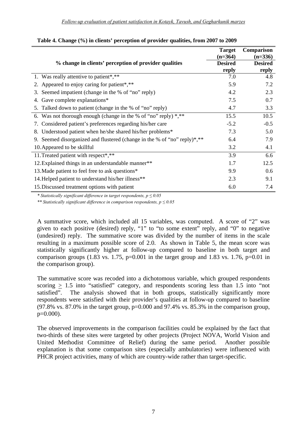|                                                                             | <b>Target</b>  | <b>Comparison</b> |
|-----------------------------------------------------------------------------|----------------|-------------------|
|                                                                             | $(n=364)$      | $(n=336)$         |
| % change in clients' perception of provider qualities                       | <b>Desired</b> | <b>Desired</b>    |
|                                                                             | reply          | reply             |
| 1. Was really attentive to patient <sup>*</sup> ,**                         | 7.0            | 4.8               |
| 2. Appeared to enjoy caring for patient*,**                                 | 5.9            | 7.2               |
| Seemed impatient (change in the % of "no" reply)<br>3.                      | 4.2            | 2.3               |
| Gave complete explanations*<br>4.                                           | 7.5            | 0.7               |
| 5. Talked down to patient (change in the % of "no" reply)                   | 4.7            | 3.3               |
| 6. Was not thorough enough (change in the % of "no" reply) $*,**$           | 15.5           | 10.5              |
| Considered patient's preferences regarding his/her care<br>7.               | $-5.2$         | $-0.5$            |
| Understood patient when he/she shared his/her problems*<br>8.               | 7.3            | 5.0               |
| Seemed disorganized and flustered (change in the % of "no" reply)*,**<br>9. | 6.4            | 7.9               |
| 10. Appeared to be skillful                                                 | 3.2            | 4.1               |
| 11. Treated patient with respect*,**                                        | 3.9            | 6.6               |
| 12. Explained things in an understandable manner**                          | 1.7            | 12.5              |
| 13. Made patient to feel free to ask questions*                             | 9.9            | 0.6               |
| 14. Helped patient to understand his/her illness**                          | 2.3            | 9.1               |
| 15. Discussed treatment options with patient                                | 6.0            | 7.4               |

#### **Table 4. Change (%) in clients' perception of provider qualities, from 2007 to 2009**

*\* Statistically significant difference in target respondents, p ≤ 0.05* 

*\*\* Statistically significant difference in comparison respondents, p ≤ 0.05* 

A summative score, which included all 15 variables, was computed. A score of "2" was given to each positive (desired) reply, "1" to "to some extent" reply, and "0" to negative (undesired) reply. The summative score was divided by the number of items in the scale resulting in a maximum possible score of 2.0. As shown in Table 5, the mean score was statistically significantly higher at follow-up compared to baseline in both target and comparison groups (1.83 vs. 1.75, p=0.001 in the target group and 1.83 vs. 1.76, p=0.01 in the comparison group).

The summative score was recoded into a dichotomous variable, which grouped respondents scoring  $\geq$  1.5 into "satisfied" category, and respondents scoring less than 1.5 into "not satisfied". The analysis showed that in both groups, statistically significantly more The analysis showed that in both groups, statistically significantly more respondents were satisfied with their provider's qualities at follow-up compared to baseline  $(97.8\%$  vs. 87.0% in the target group,  $p=0.000$  and 97.4% vs. 85.3% in the comparison group,  $p=0.000$ ).

The observed improvements in the comparison facilities could be explained by the fact that two-thirds of these sites were targeted by other projects (Project NOVA, World Vision and United Methodist Committee of Relief) during the same period. Another possible explanation is that some comparison sites (especially ambulatories) were influenced with PHCR project activities, many of which are country-wide rather than target-specific.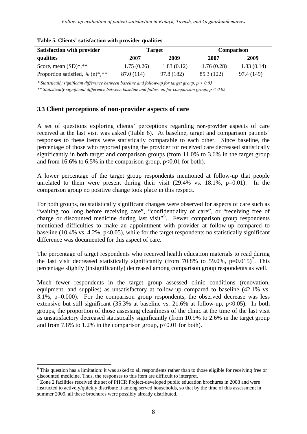| <b>Satisfaction with provider</b> | <b>Target</b> |            |            | <b>Comparison</b> |
|-----------------------------------|---------------|------------|------------|-------------------|
| qualities                         | 2007          | 2009       | 2007       | 2009              |
| Score, mean $(SD)$ *,**           | 1.75(0.26)    | 1.83(0.12) | 1.76(0.28) | 1.83(0.14)        |
| Proportion satisfied, $% (n)*,**$ | 87.0 (114)    | 97.8 (182) | 85.3 (122) | 97.4 (149)        |

**Table 5. Clients' satisfaction with provider qualities** 

*\* Statistically significant difference between baseline and follow-up for target group, p < 0.05* 

*\*\* Statistically significant difference between baseline and follow-up for comparison group, p < 0.05*

## <span id="page-13-0"></span>**3.3 Client perceptions of non-provider aspects of care**

A set of questions exploring clients' perceptions regarding non-provider aspects of care received at the last visit was asked (Table 6). At baseline, target and comparison patients' responses to these items were statistically comparable to each other. Since baseline, the percentage of those who reported paying the provider for received care decreased statistically significantly in both target and comparison groups (from 11.0% to 3.6% in the target group and from 16.6% to 6.5% in the comparison group,  $p<0.01$  for both).

A lower percentage of the target group respondents mentioned at follow-up that people unrelated to them were present during their visit  $(29.4\% \text{ vs. } 18.1\% \text{, } p=0.01)$ . In the comparison group no positive change took place in this respect.

For both groups, no statistically significant changes were observed for aspects of care such as "waiting too long before receiving care", "confidentiality of care", or "receiving free of charge or discounted medicine during last visit"<sup>[6](#page-13-1)</sup>. Fewer comparison group respondents mentioned difficulties to make an appointment with provider at follow-up compared to baseline (10.4% vs. 4.2%,  $p<0.05$ ), while for the target respondents no statistically significant difference was documented for this aspect of care.

The percentage of target respondents who received health education materials to read during the last visit decreased statistically significantly (from [7](#page-13-2)0.8% to 59.0%,  $p=0.015$ )<sup>7</sup>. This percentage slightly (insignificantly) decreased among comparison group respondents as well.

Much fewer respondents in the target group assessed clinic conditions (renovation, equipment, and supplies) as unsatisfactory at follow-up compared to baseline (42.1% vs. 3.1%, p=0.000). For the comparison group respondents, the observed decrease was less extensive but still significant  $(35.3\%$  at baseline vs.  $21.6\%$  at follow-up, p<0.05). In both groups, the proportion of those assessing cleanliness of the clinic at the time of the last visit as unsatisfactory decreased statistically significantly (from 10.9% to 2.6% in the target group and from 7.8% to 1.2% in the comparison group,  $p<0.01$  for both).

<u>.</u>

<span id="page-13-1"></span> $6$  This question has a limitation: it was asked to all respondents rather than to those eligible for receiving free or discounted medicine. Thus, the responses to this item are difficult to interpret.

<span id="page-13-2"></span> $7$  Zone 2 facilities received the set of PHCR Project-developed public education brochures in 2008 and were instructed to actively/quickly distribute it among served households, so that by the time of this assessment in summer 2009, all these brochures were possibly already distributed.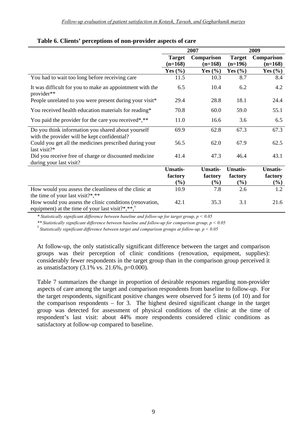|                                                                                                                           | 2007                       |                         | 2009                       |                         |
|---------------------------------------------------------------------------------------------------------------------------|----------------------------|-------------------------|----------------------------|-------------------------|
|                                                                                                                           | <b>Target</b><br>$(n=168)$ | Comparison<br>$(n=168)$ | <b>Target</b><br>$(n=196)$ | Comparison<br>$(n=168)$ |
|                                                                                                                           | Yes $(\% )$                | Yes $(\% )$             | Yes $(\% )$                | Yes $(\% )$             |
| You had to wait too long before receiving care                                                                            | 11.5                       | 10.3                    | 8.7                        | 8.4                     |
| It was difficult for you to make an appointment with the<br>provider**                                                    | 6.5                        | 10.4                    | 6.2                        | 4.2                     |
| People unrelated to you were present during your visit*                                                                   | 29.4                       | 28.8                    | 18.1                       | 24.4                    |
| You received health education materials for reading*                                                                      | 70.8                       | 60.0                    | 59.0                       | 55.1                    |
| You paid the provider for the care you received*,**                                                                       | 11.0                       | 16.6                    | 3.6                        | 6.5                     |
| Do you think information you shared about yourself<br>with the provider will be kept confidential?                        | 69.9                       | 62.8                    | 67.3                       | 67.3                    |
| Could you get all the medicines prescribed during your<br>last visit?*                                                    | 56.5                       | 62.0                    | 67.9                       | 62.5                    |
| Did you receive free of charge or discounted medicine<br>during your last visit?                                          | 41.4                       | 47.3                    | 46.4                       | 43.1                    |
|                                                                                                                           | <b>Unsatis-</b>            | <b>Unsatis-</b>         | <b>Unsatis-</b>            | <b>Unsatis-</b>         |
|                                                                                                                           | factory                    | factory                 | factory                    | factory                 |
|                                                                                                                           | $(\%)$                     | $(\%)$                  | $(\%)$                     | $(\%)$                  |
| How would you assess the cleanliness of the clinic at<br>the time of your last visit?*,**                                 | 10.9                       | 7.8                     | 2.6                        | 1.2                     |
| How would you assess the clinic conditions (renovation,<br>equipment) at the time of your last visit?*,**, $\overline{a}$ | 42.1                       | 35.3                    | 3.1                        | 21.6                    |

#### **Table 6. Clients' perceptions of non-provider aspects of care**

*\* Statistically significant difference between baseline and follow-up for target group, p < 0.05* 

*\*\* Statistically significant difference between baseline and follow-up for comparison group, p < 0.05* 

† *Statistically significant difference between target and comparison groups at follow-up, p < 0.05* 

At follow-up, the only statistically significant difference between the target and comparison groups was their perception of clinic conditions (renovation, equipment, supplies): considerably fewer respondents in the target group than in the comparison group perceived it as unsatisfactory (3.1% vs. 21.6%, p=0.000).

Table 7 summarizes the change in proportion of desirable responses regarding non-provider aspects of care among the target and comparison respondents from baseline to follow-up. For the target respondents, significant positive changes were observed for 5 items (of 10) and for the comparison respondents – for 3. The highest desired significant change in the target group was detected for assessment of physical conditions of the clinic at the time of respondent's last visit: about 44% more respondents considered clinic conditions as satisfactory at follow-up compared to baseline.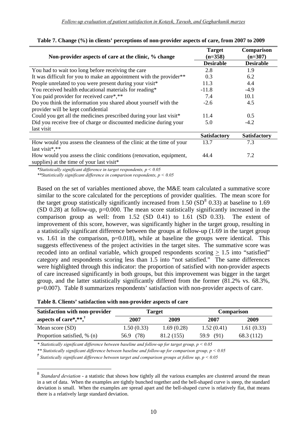| Non-provider aspects of care at the clinic, % change                            | <b>Target</b><br>$(n=358)$ | Comparison<br>$(n=307)$ |
|---------------------------------------------------------------------------------|----------------------------|-------------------------|
|                                                                                 | <b>Desirable</b>           | <b>Desirable</b>        |
| You had to wait too long before receiving the care                              | 2.8                        | 1.9                     |
| It was difficult for you to make an appointment with the provider <sup>**</sup> | 0.3                        | 6.2                     |
| People unrelated to you were present during your visit*                         | 11.3                       | 4.4                     |
| You received health educational materials for reading*                          | $-11.8$                    | $-4.9$                  |
| You paid provider for received care*,**                                         | 7.4                        | 10.1                    |
| Do you think the information you shared about yourself with the                 | $-2.6$                     | 4.5                     |
| provider will be kept confidential                                              |                            |                         |
| Could you get all the medicines prescribed during your last visit*              | 11.4                       | 0.5                     |
| Did you receive free of charge or discounted medicine during your               | 5.0                        | $-4.2$                  |
| last visit                                                                      |                            |                         |
|                                                                                 | <b>Satisfactory</b>        | <b>Satisfactory</b>     |
| How would you assess the cleanness of the clinic at the time of your            | 13.7                       | 7.3                     |
| last visit*,**                                                                  |                            |                         |
| How would you assess the clinic conditions (renovation, equipment,              | 44.4                       | 7.2                     |
| supplies) at the time of your last visit*                                       |                            |                         |

#### **Table 7. Change (%) in clients' perceptions of non-provider aspects of care, from 2007 to 2009**

*\*Statistically significant difference in target respondents, p < 0.05* 

*\*\*Statistically significant difference in comparison respondents, p < 0.05* 

Based on the set of variables mentioned above, the M&E team calculated a summative score similar to the score calculated for the perceptions of provider qualities. The mean score for the target group statistically significantly increased from 1.50  $(SD<sup>8</sup> 0.33)$  $(SD<sup>8</sup> 0.33)$  $(SD<sup>8</sup> 0.33)$  at baseline to 1.69 (SD 0.28) at follow-up, p=0.000. The mean score statistically significantly increased in the comparison group as well: from 1.52 (SD 0.41) to 1.61 (SD 0.33). The extent of improvement of this score, however, was significantly higher in the target group, resulting in a statistically significant difference between the groups at follow-up (1.69 in the target group vs. 1.61 in the comparison, p=0.018), while at baseline the groups were identical. This suggests effectiveness of the project activities in the target sites. The summative score was recoded into an ordinal variable, which grouped respondents scoring  $\geq 1.5$  into "satisfied" category and respondents scoring less than 1.5 into "not satisfied." The same differences were highlighted through this indicator: the proportion of satisfied with non-provider aspects of care increased significantly in both groups, but this improvement was bigger in the target group, and the latter statistically significantly differed from the former (81.2% vs. 68.3%, p=0.007). Table 8 summarizes respondents' satisfaction with non-provider aspects of care.

|  |  |  | Table 8. Clients' satisfaction with non-provider aspects of care |
|--|--|--|------------------------------------------------------------------|
|--|--|--|------------------------------------------------------------------|

1

| <b>Satisfaction with non-provider</b> |            | <b>Target</b> | <b>Comparison</b> |            |  |
|---------------------------------------|------------|---------------|-------------------|------------|--|
| aspects of care*,**, $\overline{a}$   | 2007       | 2009          | 2007              | 2009       |  |
| Mean score (SD)                       | 1.50(0.33) | 1.69(0.28)    | 1.52(0.41)        | 1.61(0.33) |  |
| Proportion satisfied, % (n)           | 56.9 (78)  | 81.2 (155)    | 59.9 (91)         | 68.3 (112) |  |

*\* Statistically significant difference between baseline and follow-up for target group, p < 0.05* 

*\*\* Statistically significant difference between baseline and follow-up for comparison group, p < 0.05* 

*† Statistically significant difference between target and comparison groups at follow up, p < 0.05* 

<span id="page-15-0"></span><sup>8</sup> *Standard deviation* - a statistic that shows how tightly all the various examples are clustered around the mean in a set of data. When the examples are tightly bunched together and the bell-shaped curve is steep, the standard deviation is small. When the examples are spread apart and the bell-shaped curve is relatively flat, that means there is a relatively large standard deviation.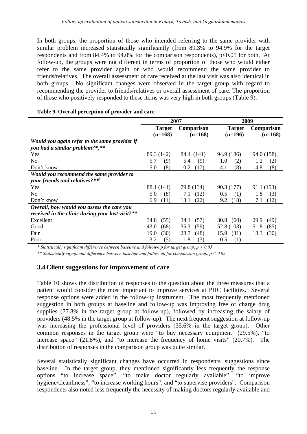In both groups, the proportion of those who intended referring to the same provider with similar problem increased statistically significantly (from 89.3% to 94.9% for the target respondents and from  $84.4\%$  to  $94.0\%$  for the comparison respondents), p<0.05 for both. At follow-up, the groups were not different in terms of proportion of those who would either refer to the same provider again or who would recommend the same provider to friends/relatives. The overall assessment of care received at the last visit was also identical in both groups. No significant changes were observed in the target group with regard to recommending the provider to friends/relatives or overall assessment of care. The proportion of those who positively responded to these items was very high in both groups (Table 9).

|                                                  |               | 2007              | 2009          |              |  |
|--------------------------------------------------|---------------|-------------------|---------------|--------------|--|
|                                                  | <b>Target</b> | <b>Comparison</b> | <b>Target</b> | Comparison   |  |
|                                                  | $(n=168)$     | $(n=168)$         | $(n=196)$     | $(n=168)$    |  |
| Would you again refer to the same provider if    |               |                   |               |              |  |
| you had a similar problem?*,**                   |               |                   |               |              |  |
| Yes                                              | 89.3 (142)    | 84.4 (141)        | 94.9 (186)    | 94.0 (158)   |  |
| N <sub>0</sub>                                   | (9)<br>5.7    | 5.4<br>(9)        | 1.0<br>(2)    | 1.2<br>(2)   |  |
| Don't know                                       | (8)<br>5.0    | 10.2<br>(17)      | (8)<br>4.1    | 4.8<br>(8)   |  |
| Would you recommend the same provider to         |               |                   |               |              |  |
| your friends and relatives?** <sup>†</sup>       |               |                   |               |              |  |
| Yes                                              | 88.1 (141)    | 79.8 (134)        | 90.3 (177)    | 91.1 (153)   |  |
| No                                               | (8)<br>5.0    | (12)<br>7.1       | 0.5<br>(1)    | 1.8<br>(3)   |  |
| Don't know                                       | 6.9<br>(11)   | (22)<br>13.1      | 9.2<br>(18)   | (12)<br>7.1  |  |
| Overall, how would you assess the care you       |               |                   |               |              |  |
| received in the clinic during your last visit?** |               |                   |               |              |  |
| Excellent                                        | 34.8<br>(55)  | (57)<br>34.1      | 30.8<br>(60)  | 29.9<br>(49) |  |
| Good                                             | 43.0<br>(68)  | 35.3<br>(59)      | 52.8 (103)    | 51.8<br>(85) |  |
| Fair                                             | 19.0<br>(30)  | 28.7<br>(48)      | (31)<br>15.9  | 18.3<br>(30) |  |
| Poor                                             | 3.2<br>(5)    | (3)<br>1.8        | (1)<br>0.5    |              |  |

## **T able 9. Overall perception of provider and care**

*\* Statistically significant difference between baseline and follow-up for target group, p < 0.05* 

*\*\* Statistically significant difference between baseline and follow-up for comparison group, p < 0.05* 

## <span id="page-16-0"></span>**3.4Client suggestions for improvement of care**

Table 10 shows the distribution of responses to the question about the three measures that a patient would consider the most important to improve services at PHC facilities. Several response options were added in the follow-up instrument. The most frequently mentioned suggestion in both groups at baseline and follow-up was improving free of charge drug supplies (77.8% in the target group at follow-up), followed by increasing the salary of providers (48.5% in the target group at follow-up). The next frequent suggestion at follow-up was increasing the professional level of providers (35.6% in the target group). Other common responses in the target group were "to buy necessary equipment" (29.5%), "to increase space" (21.8%), and "to increase the frequency of home visits" (20.7%). The distribution of responses in the comparison group was quite similar.

Several statistically significant changes have occurred in respondents' suggestions since baseline. In the target group, they mentioned significantly less frequently the response options "to increase space", "to make doctor regularly available", "to improve hygiene/cleanliness", "to increase working hours", and "to supervise providers". Comparison respondents also noted less frequently the necessity of making doctors regularly available and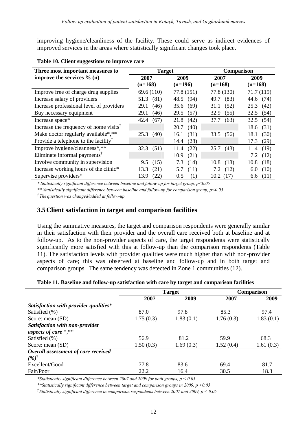improving hygiene/cleanliness of the facility. These could serve as indirect evidences of improved services in the areas where statistically significant changes took place.

| Three most important measures to                                    | <b>Target</b> |              | <b>Comparison</b> |              |
|---------------------------------------------------------------------|---------------|--------------|-------------------|--------------|
| improve the services $\%$ (n)                                       | 2007          | 2009         | 2007              | 2009         |
|                                                                     | $(n=168)$     | $(n=196)$    | $(n=168)$         | $(n=168)$    |
| Improve free of charge drug supplies                                | 69.6(110)     | 77.8(151)    | 77.8 (130)        | 71.7(119)    |
| Increase salary of providers                                        | (81)<br>51.3  | (94)<br>48.5 | (83)<br>49.7      | 44.6 (74)    |
| Increase professional level of providers                            | (46)<br>29.1  | 35.6<br>(69) | (52)<br>31.1      | 25.3<br>(42) |
| Buy necessary equipment                                             | (46)<br>29.1  | 29.5<br>(57) | 32.9<br>(55)      | 32.5<br>(54) |
| Increase space*                                                     | (67)<br>42.4  | 21.8<br>(42) | 37.7<br>(63)      | 32.5<br>(54) |
| Increase the frequency of home visits <sup>1</sup>                  |               | (40)<br>20.7 |                   | 18.6<br>(31) |
| Make doctor regularly available*,**                                 | 25.3<br>(40)  | (31)<br>16.1 | 33.5 (56)         | (30)<br>18.1 |
| Provide a telephone to the facility <sup><math>\dagger</math></sup> |               | (28)<br>14.4 |                   | 17.3<br>(29) |
| Improve hygiene/cleanness*,**                                       | 32.3(51)      | (22)<br>11.4 | 25.7(43)          | (19)<br>11.4 |
| Eliminate informal payments <sup>™</sup>                            |               | 10.9<br>(21) |                   | (12)<br>7.2  |
| Involve community in supervision                                    | 9.5<br>(15)   | 7.3<br>(14)  | 10.8<br>(18)      | 10.8<br>(18) |
| Increase working hours of the clinic*                               | (21)<br>13.3  | (11)<br>5.7  | (12)<br>7.2       | (10)<br>6.0  |
| Supervise providers*                                                | (22)<br>13.9  | (1)<br>0.5   | 10.2<br>(17)      | (11)<br>6.6  |

#### **Table 10. Client suggestions to improve care**

*\* Statistically significant difference between baseline and follow-up for target group, p<0.05* 

*\*\* Statistically significant difference between baseline and follow-up for comparison group, p<0.05* 

*† The question was changed/added at follow-up* 

#### <span id="page-17-0"></span>**3.5Client satisfaction in target and comparison facilities**

Using the summative measures, the target and comparison respondents were generally similar in their satisfaction with their provider and the overall care received both at baseline and at follow-up. As to the non-provider aspects of care, the target respondents were statistically significantly more satisfied with this at follow-up than the comparison respondents (Table 11). The satisfaction levels with provider qualities were much higher than with non-provider aspects of care; this was observed at baseline and follow-up and in both target and comparison groups. The same tendency was detected in Zone 1 communities (12).

|  |  |  | Table 11. Baseline and follow-up satisfaction with care by target and comparison facilities |  |
|--|--|--|---------------------------------------------------------------------------------------------|--|
|  |  |  |                                                                                             |  |

|                                       |           | <b>Target</b> | <b>Comparison</b> |           |  |
|---------------------------------------|-----------|---------------|-------------------|-----------|--|
|                                       | 2007      | 2009          | 2007              | 2009      |  |
| Satisfaction with provider qualities* |           |               |                   |           |  |
| Satisfied (%)                         | 87.0      | 97.8          | 85.3              | 97.4      |  |
| Score: mean (SD)                      | 1.75(0.3) | 1.83(0.1)     | 1.76(0.3)         | 1.83(0.1) |  |
| Satisfaction with non-provider        |           |               |                   |           |  |
| aspects of care *,**                  |           |               |                   |           |  |
| Satisfied (%)                         | 56.9      | 81.2          | 59.9              | 68.3      |  |
| Score: mean (SD)                      | 1.50(0.3) | 1.69(0.3)     | 1.52(0.4)         | 1.61(0.3) |  |
| Overall assessment of care received   |           |               |                   |           |  |
| $(%)^{\dagger}$                       |           |               |                   |           |  |
| Excellent/Good                        | 77.8      | 83.6          | 69.4              | 81.7      |  |
| Fair/Poor                             | 22.2      | 16.4          | 30.5              | 18.3      |  |

*\*Statistically significant difference between 2007 and 2009 for both groups, p < 0.05* 

*\*\*Statistically significant difference between target and comparison groups in 2009, p <0.05* 

*† Statistically significant difference in comparison respondents between 2007 and 2009, p < 0.05*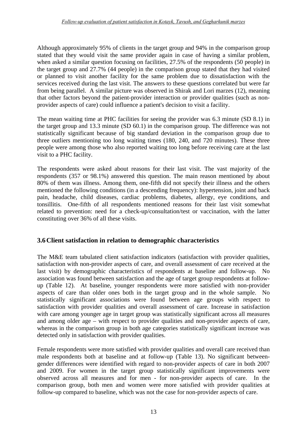Although approximately 95% of clients in the target group and 94% in the comparison group stated that they would visit the same provider again in case of having a similar problem, when asked a similar question focusing on facilities, 27.5% of the respondents (50 people) in the target group and 27.7% (44 people) in the comparison group stated that they had visited or planned to visit another facility for the same problem due to dissatisfaction with the services received during the last visit. The answers to these questions correlated but were far from being parallel. A similar picture was observed in Shirak and Lori marzes (12), meaning that other factors beyond the patient-provider interaction or provider qualities (such as nonprovider aspects of care) could influence a patient's decision to visit a facility.

The mean waiting time at PHC facilities for seeing the provider was 6.3 minute (SD 8.1) in the target group and 13.3 minute (SD 60.1) in the comparison group. The difference was not statistically significant because of big standard deviation in the comparison group due to three outliers mentioning too long waiting times (180, 240, and 720 minutes). These three people were among those who also reported waiting too long before receiving care at the last visit to a PHC facility.

The respondents were asked about reasons for their last visit. The vast majority of the respondents (357 or 98.1%) answered this question. The main reason mentioned by about 80% of them was illness. Among them, one-fifth did not specify their illness and the others mentioned the following conditions (in a descending frequency): hypertension, joint and back pain, headache, child diseases, cardiac problems, diabetes, allergy, eye conditions, and tonsillitis. One-fifth of all respondents mentioned reasons for their last visit somewhat related to prevention: need for a check-up/consultation/test or vaccination, with the latter constituting over 36% of all these visits.

## <span id="page-18-0"></span>**3.6Client satisfaction in relation to demographic characteristics**

The M&E team tabulated client satisfaction indicators (satisfaction with provider qualities, satisfaction with non-provider aspects of care, and overall assessment of care received at the last visit) by demographic characteristics of respondents at baseline and follow-up. No association was found between satisfaction and the age of target group respondents at followup (Table 12). At baseline, younger respondents were more satisfied with non-provider aspects of care than older ones both in the target group and in the whole sample. No statistically significant associations were found between age groups with respect to satisfaction with provider qualities and overall assessment of care. Increase in satisfaction with care among younger age in target group was statistically significant across all measures and among older age – with respect to provider qualities and non-provider aspects of care, whereas in the comparison group in both age categories statistically significant increase was detected only in satisfaction with provider qualities.

Female respondents were more satisfied with provider qualities and overall care received than male respondents both at baseline and at follow-up (Table 13). No significant betweengender differences were identified with regard to non-provider aspects of care in both 2007 and 2009. For women in the target group statistically significant improvements were observed across all measures and for men - for non-provider aspects of care. In the comparison group, both men and women were more satisfied with provider qualities at follow-up compared to baseline, which was not the case for non-provider aspects of care.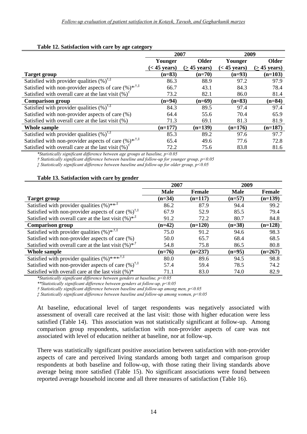#### **Table 12. Satisfaction with care by age category**

|                                                                         | 2007           |                 | 2009           |                 |  |
|-------------------------------------------------------------------------|----------------|-----------------|----------------|-----------------|--|
|                                                                         | Younger        | Older           | Younger        | Older           |  |
|                                                                         | $(< 45$ years) | $($ > 45 years) | $(< 45$ years) | $($ > 45 years) |  |
| <b>Target group</b>                                                     | $(n=83)$       | $(n=70)$        | $(n=93)$       | $(n=103)$       |  |
| Satisfied with provider qualities $(\%)^{\dagger,\ddagger}$             | 86.3           | 88.9            | 97.2           | 97.9            |  |
| Satisfied with non-provider aspects of care $(\%)^{*,\dagger,\ddagger}$ | 66.7           | 43.1            | 84.3           | 78.4            |  |
| Satisfied with overall care at the last visit $(\%)^{\dagger}$          | 73.2           | 82.1            | 86.0           | 81.4            |  |
| <b>Comparison group</b>                                                 | $(n=94)$       | $(n=69)$        | $(n=83)$       | $(n=84)$        |  |
| Satisfied with provider qualities $(\%)^{\dagger,\ddagger}$             | 84.3           | 89.5            | 97.4           | 97.4            |  |
| Satisfied with non-provider aspects of care (%)                         | 64.4           | 55.6            | 70.4           | 65.9            |  |
| Satisfied with overall care at the last visit (%)                       | 71.3           | 69.1            | 81.3           | 81.9            |  |
| Whole sample                                                            | $(n=177)$      | $(n=139)$       | $(n=176)$      | $(n=187)$       |  |
| Satisfied with provider qualities $(\%)^{\dagger,\ddagger}$             | 85.3           | 89.2            | 97.6           | 97.7            |  |
| Satisfied with non-provider aspects of care $(\%)^{*,\dagger,\ddagger}$ | 65.4           | 49.6            | 77.6           | 72.8            |  |
| Satisfied with overall care at the last visit $(\%)^{\dagger}$          | 72.2           | 75.6            | 83.8           | 81.6            |  |

*\*Statistically significant difference between age groups at baseline, p<0.05* 

*† Statistically significant difference between baseline and follow-up for younger group, p<0.05* 

*‡ Statistically significant difference between baseline and follow-up for older group, p<0.05* 

#### **Table 13. Satisfaction with care by gender**

|                                                                       | 2007        |               | 2009        |           |
|-----------------------------------------------------------------------|-------------|---------------|-------------|-----------|
|                                                                       | <b>Male</b> | <b>Female</b> | <b>Male</b> | Female    |
| Target group                                                          | $(n=34)$    | $(n=117)$     | $(n=57)$    | $(n=139)$ |
| Satisfied with provider qualities $(\%)^{***}$                        | 86.2        | 87.9          | 94.4        | 99.2      |
| Satisfied with non-provider aspects of care $(\%)^{\dagger,\ddagger}$ | 67.9        | 52.9          | 85.5        | 79.4      |
| Satisfied with overall care at the last visit $(\%)^{*,\ddag}$        | 91.2        | 72.2          | 80.7        | 84.8      |
| <b>Comparison group</b>                                               | $(n=42)$    | $(n=120)$     | $(n=38)$    | $(n=128)$ |
| Satisfied with provider qualities $(\%)^{*,\dagger,\ddagger}$         | 75.0        | 91.2          | 94.6        | 98.3      |
| Satisfied with non-provider aspects of care (%)                       | 50.0        | 65.7          | 68.4        | 68.5      |
| Satisfied with overall care at the last visit $(\% )^{*,\dagger}$     | 54.8        | 75.8          | 86.5        | 80.8      |
| Whole sample                                                          | $(n=76)$    | $(n=237)$     | $(n=95)$    | $(n=267)$ |
| Satisfied with provider qualities $(\%)$ **** <sup>†;‡</sup>          | 80.0        | 89.6          | 94.5        | 98.8      |
| Satisfied with non-provider aspects of care $(\%)^{\dagger,\ddagger}$ | 57.4        | 59.4          | 78.5        | 74.2      |
| Satisfied with overall care at the last visit $(\%)^*$                | 71.1        | 83.0          | 74.0        | 82.9      |

*\*Statistically significant difference between genders at baseline, p<0.05* 

*\*\*Statistically significant difference between genders at follow-up, p<0.05* 

*† Statistically significant difference between baseline and follow-up among men, p<0.05* 

*‡ Statistically significant difference between baseline and follow-up among women, p<0.05* 

At baseline, educational level of target respondents was negatively associated with assessment of overall care received at the last visit: those with higher education were less satisfied (Table 14). This association was not statistically significant at follow-up. Among comparison group respondents, satisfaction with non-provider aspects of care was not associated with level of education neither at baseline, nor at follow-up.

There was statistically significant positive association between satisfaction with non-provider aspects of care and perceived living standards among both target and comparison group respondents at both baseline and follow-up, with those rating their living standards above average being more satisfied (Table 15). No significant associations were found between reported average household income and all three measures of satisfaction (Table 16).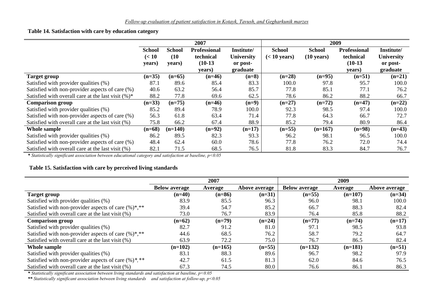#### **Table 14. Satisfaction with care by education category**

|                                                        | 2007          |               |                     |            | 2009           |                      |                     |                   |
|--------------------------------------------------------|---------------|---------------|---------------------|------------|----------------|----------------------|---------------------|-------------------|
|                                                        | <b>School</b> | <b>School</b> | <b>Professional</b> | Institute/ | <b>School</b>  | <b>School</b>        | <b>Professional</b> | Institute/        |
|                                                        | (< 10         | (10)          | technical           | University | $(< 10$ years) | $(10 \text{ years})$ | technical           | <b>University</b> |
|                                                        | years)        | years)        | $(10-13)$           | or post-   |                |                      | $(10-13)$           | or post-          |
|                                                        |               |               | years)              | graduate   |                |                      | vears)              | graduate          |
| <b>Target group</b>                                    | $(n=35)$      | $(n=65)$      | $(n=46)$            | $(n=8)$    | $(n=28)$       | $(n=95)$             | $(n=51)$            | $(n=21)$          |
| Satisfied with provider qualities (%)                  | 87.1          | 89.6          | 85.4                | 83.3       | 100.0          | 97.8                 | 95.7                | 100.0             |
| Satisfied with non-provider aspects of care (%)        | 40.6          | 63.2          | 56.4                | 85.7       | 77.8           | 85.1                 | 77.1                | 76.2              |
| Satisfied with overall care at the last visit $(\%)^*$ | 88.2          | 77.8          | 69.6                | 62.5       | 78.6           | 86.2                 | 88.2                | 66.7              |
| <b>Comparison group</b>                                | $(n=33)$      | $(n=75)$      | $(n=46)$            | $(n=9)$    | $(n=27)$       | $(n=72)$             | $(n=47)$            | $(n=22)$          |
| Satisfied with provider qualities (%)                  | 85.2          | 89.4          | 78.9                | 100.0      | 92.3           | 98.5                 | 97.4                | 100.0             |
| Satisfied with non-provider aspects of care (%)        | 56.3          | 61.8          | 63.4                | 71.4       | 77.8           | 64.3                 | 66.7                | 72.7              |
| Satisfied with overall care at the last visit (%)      | 75.8          | 66.2          | 67.4                | 88.9       | 85.2           | 79.4                 | 80.9                | 86.4              |
| Whole sample                                           | $(n=68)$      | $(n=140)$     | $(n=92)$            | $(n=17)$   | $(n=55)$       | $(n=167)$            | $(n=98)$            | $(n=43)$          |
| Satisfied with provider qualities (%)                  | 86.2          | 89.5          | 82.3                | 93.3       | 96.2           | 98.1                 | 96.5                | 100.0             |
| Satisfied with non-provider aspects of care (%)        | 48.4          | 62.4          | 60.0                | 78.6       | 77.8           | 76.2                 | 72.0                | 74.4              |
| Satisfied with overall care at the last visit (%)      | 82.1          | 71.5          | 68.5                | 76.5       | 81.8           | 83.3                 | 84.7                | 76.7              |

*\* Statistically significant association between educational category and satisfaction at baseline, p<0.05*

## **Table 15. Satisfaction with care by perceived living standards**

|                                                         |                      | 2007      |               |                      | 2009      |               |
|---------------------------------------------------------|----------------------|-----------|---------------|----------------------|-----------|---------------|
|                                                         | <b>Below average</b> | Average   | Above average | <b>Below average</b> | Average   | Above average |
| <b>Target group</b>                                     | $(n=40)$             | $(n=86)$  | $(n=31)$      | $(n=55)$             | $(n=107)$ | $(n=34)$      |
| Satisfied with provider qualities (%)                   | 83.9                 | 85.5      | 96.3          | 96.0                 | 98.1      | 100.0         |
| Satisfied with non-provider aspects of care $(\%)$ *,** | 39.4                 | 54.7      | 85.2          | 66.7                 | 88.3      | 82.4          |
| Satisfied with overall care at the last visit (%)       | 73.0                 | 76.7      | 83.9          | 76.4                 | 85.8      | 88.2          |
| <b>Comparison group</b>                                 | $(n=62)$             | $(n=79)$  | $(n=24)$      | $(n=77)$             | $(n=74)$  | $(n=17)$      |
| Satisfied with provider qualities (%)                   | 82.7                 | 91.2      | 81.0          | 97.1                 | 98.5      | 93.8          |
| Satisfied with non-provider aspects of care $(\%)$ *,** | 44.6                 | 68.5      | 76.2          | 58.7                 | 79.2      | 64.7          |
| Satisfied with overall care at the last visit (%)       | 63.9                 | 72.2      | 75.0          | 76.7                 | 86.5      | 82.4          |
| Whole sample                                            | $(n=102)$            | $(n=165)$ | $(n=55)$      | $(n=132)$            | $(n=181)$ | $(n=51)$      |
| Satisfied with provider qualities (%)                   | 83.1                 | 88.3      | 89.6          | 96.7                 | 98.2      | 97.9          |
| Satisfied with non-provider aspects of care $(\%)$ *,** | 42.7                 | 61.5      | 81.3          | 62.0                 | 84.6      | 76.5          |
| Satisfied with overall care at the last visit (%)       | 67.3                 | 74.5      | 80.0          | 76.6                 | 86.1      | 86.3          |

*\* Statistically significant association between living standards and satisfaction at baseline, p<0.05* 

*\*\* Statistically significant association between living standards and satisfaction at follow-up, p<0.05*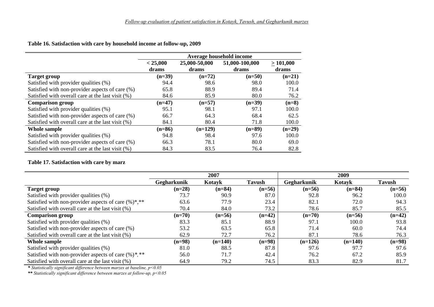**Table 16. Satisfaction with care by household income at follow-up, 2009**

|                                                   | Average household income |               |                |          |  |  |  |
|---------------------------------------------------|--------------------------|---------------|----------------|----------|--|--|--|
|                                                   | < 25,000                 | 25,000-50,000 | 51,000-100,000 | >101,000 |  |  |  |
|                                                   | drams                    | drams         | drams          | drams    |  |  |  |
| <b>Target group</b>                               | $(n=39)$                 | $(n=72)$      | $(n=50)$       | $(n=21)$ |  |  |  |
| Satisfied with provider qualities (%)             | 94.4                     | 98.6          | 98.0           | 100.0    |  |  |  |
| Satisfied with non-provider aspects of care (%)   | 65.8                     | 88.9          | 89.4           | 71.4     |  |  |  |
| Satisfied with overall care at the last visit (%) | 84.6                     | 85.9          | 80.0           | 76.2     |  |  |  |
| <b>Comparison group</b>                           | $(n=47)$                 | $(n=57)$      | $(n=39)$       | $(n=8)$  |  |  |  |
| Satisfied with provider qualities (%)             | 95.1                     | 98.1          | 97.1           | 100.0    |  |  |  |
| Satisfied with non-provider aspects of care (%)   | 66.7                     | 64.3          | 68.4           | 62.5     |  |  |  |
| Satisfied with overall care at the last visit (%) | 84.1                     | 80.4          | 71.8           | 100.0    |  |  |  |
| Whole sample                                      | $(n=86)$                 | $(n=129)$     | $(n=89)$       | $(n=29)$ |  |  |  |
| Satisfied with provider qualities (%)             | 94.8                     | 98.4          | 97.6           | 100.0    |  |  |  |
| Satisfied with non-provider aspects of care (%)   | 66.3                     | 78.1          | 80.0           | 69.0     |  |  |  |
| Satisfied with overall care at the last visit (%) | 84.3                     | 83.5          | 76.4           | 82.8     |  |  |  |

#### **Table 17. Satisfaction with care by marz**

|                                                         |             | 2007      |               |             | 2009      |          |
|---------------------------------------------------------|-------------|-----------|---------------|-------------|-----------|----------|
|                                                         | Gegharkunik | Kotayk    | <b>Tavush</b> | Gegharkunik | Kotayk    | Tavush   |
| <b>Target group</b>                                     | $(n=28)$    | $(n=84)$  | $(n=56)$      | $(n=56)$    | $(n=84)$  | $(n=56)$ |
| Satisfied with provider qualities (%)                   | 73.7        | 90.9      | 87.0          | 92.8        | 96.2      | 100.0    |
| Satisfied with non-provider aspects of care $(\%)$ *,** | 63.6        | 77.9      | 23.4          | 82.1        | 72.0      | 94.3     |
| Satisfied with overall care at the last visit (%)       | 70.4        | 84.0      | 73.2          | 78.6        | 85.7      | 85.5     |
| <b>Comparison group</b>                                 | $(n=70)$    | $(n=56)$  | $(n=42)$      | $(n=70)$    | $(n=56)$  | $(n=42)$ |
| Satisfied with provider qualities (%)                   | 83.3        | 85.1      | 88.9          | 97.1        | 100.0     | 93.8     |
| Satisfied with non-provider aspects of care (%)         | 53.2        | 63.5      | 65.8          | 71.4        | 60.0      | 74.4     |
| Satisfied with overall care at the last visit (%)       | 62.9        | 72.7      | 76.2          | 87.1        | 78.6      | 76.3     |
| Whole sample                                            | $(n=98)$    | $(n=140)$ | $(n=98)$      | $(n=126)$   | $(n=140)$ | $(n=98)$ |
| Satisfied with provider qualities (%)                   | 81.0        | 88.5      | 87.8          | 97.6        | 97.7      | 97.6     |
| Satisfied with non-provider aspects of care $(\%)$ , ** | 56.0        | 71.7      | 42.4          | 76.2        | 67.2      | 85.9     |
| Satisfied with overall care at the last visit (%)       | 64.9        | 79.2      | 74.5          | 83.3        | 82.9      | 81.7     |

*\* Statistically significant difference between marzes at baseline, p<0.05* 

*\*\* Statistically significant difference between marzes at follow-up, p<0.05*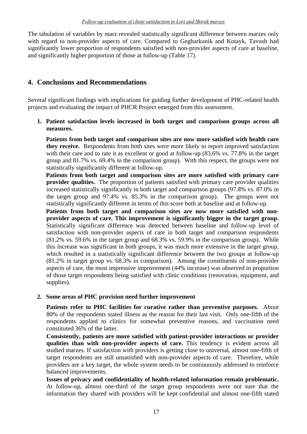The tabulation of variables by marz revealed statistically significant difference between marzes only with regard to non-provider aspects of care. Compared to Gegharkunik and Kotayk, Tavush had significantly lower proportion of respondents satisfied with non-provider aspects of care at baseline, and significantly higher proportion of those at follow-up (Table 17).

## <span id="page-22-0"></span>**4. Conclusions and Recommendations**

Several significant findings with implications for guiding further development of PHC-related health projects and evaluating the impact of PHCR Project emerged from this assessment.

**1. Patient satisfaction levels increased in both target and comparison groups across all measures.** 

**Patients from both target and comparison sites are now more satisfied with health care they receive.** Respondents from both sites were more likely to report improved satisfaction with their care and to rate it as excellent or good at follow-up (83.6% vs. 77.8% in the target group and 81.7% vs. 69.4% in the comparison group). With this respect, the groups were not statistically significantly different at follow-up.

**Patients from both target and comparison sites are more satisfied with primary care provider qualities.** The proportion of patients satisfied with primary care provider qualities increased statistically significantly in both target and comparison groups (97.8% vs. 87.0% in the target group and 97.4% vs. 85.3% in the comparison group). The groups were not statistically significantly different in terms of this score both at baseline and at follow-up.

**Patients from both target and comparison sites are now more satisfied with nonprovider aspects of care. This improvement is significantly bigger in the target group.**  Statistically significant difference was detected between baseline and follow-up level of satisfaction with non-provider aspects of care in both target and comparison respondents (81.2% vs. 59.6% in the target group and 68.3% vs. 59.9% in the comparison group). While this increase was significant in both groups, it was much more extensive in the target group, which resulted in a statistically significant difference between the two groups at follow-up (81.2% in target group vs. 68.3% in comparison). Among the constituents of non-provider aspects of care, the most impressive improvement (44% increase) was observed in proportion of those target respondents being satisfied with clinic conditions (renovation, equipment, and supplies).

#### **2. Some areas of PHC provision need further improvement**

**Patients refer to PHC facilities for curative rather than preventive purposes.** About 80% of the respondents stated illness as the reason for their last visit. Only one-fifth of the respondents applied to clinics for somewhat preventive reasons, and vaccination need constituted 36% of the latter.

**Consistently, patients are more satisfied with patient-provider interactions or provider qualities than with non-provider aspects of care.** This tendency is evident across all studied marzes. If satisfaction with providers is getting close to universal, almost one-fifth of target respondents are still unsatisfied with non-provider aspects of care. Therefore, while providers are a key target, the whole system needs to be continuously addressed to reinforce balanced improvements.

**Issues of privacy and confidentiality of health-related information remain problematic.**  At follow-up, almost one-third of the target group respondents were not sure that the information they shared with providers will be kept confidential and almost one-fifth stated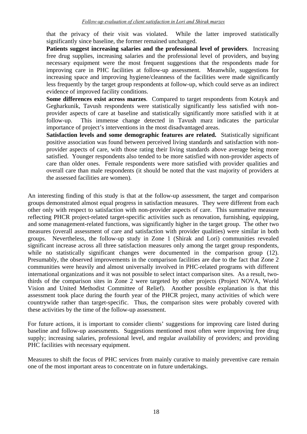that the privacy of their visit was violated. While the latter improved statistically significantly since baseline, the former remained unchanged.

**Patients suggest increasing salaries and the professional level of providers**. Increasing free drug supplies, increasing salaries and the professional level of providers, and buying necessary equipment were the most frequent suggestions that the respondents made for improving care in PHC facilities at follow-up assessment. Meanwhile, suggestions for increasing space and improving hygiene/cleanness of the facilities were made significantly less frequently by the target group respondents at follow-up, which could serve as an indirect evidence of improved facility conditions.

**Some differences exist across marzes**. Compared to target respondents from Kotayk and Gegharkunik, Tavush respondents were statistically significantly less satisfied with nonprovider aspects of care at baseline and statistically significantly more satisfied with it at follow-up. This immense change detected in Tavush marz indicates the particular importance of project's interventions in the most disadvantaged areas.

**Satisfaction levels and some demographic features are related.** Statistically significant positive association was found between perceived living standards and satisfaction with nonprovider aspects of care, with those rating their living standards above average being more satisfied. Younger respondents also tended to be more satisfied with non-provider aspects of care than older ones. Female respondents were more satisfied with provider qualities and overall care than male respondents (it should be noted that the vast majority of providers at the assessed facilities are women).

An interesting finding of this study is that at the follow-up assessment, the target and comparison groups demonstrated almost equal progress in satisfaction measures. They were different from each other only with respect to satisfaction with non-provider aspects of care. This summative measure reflecting PHCR project-related target-specific activities such as renovation, furnishing, equipping, and some management-related functions, was significantly higher in the target group. The other two measures (overall assessment of care and satisfaction with provider qualities) were similar in both groups. Nevertheless, the follow-up study in Zone 1 (Shirak and Lori) communities revealed significant increase across all three satisfaction measures only among the target group respondents, while no statistically significant changes were documented in the comparison group (12). Presumably, the observed improvements in the comparison facilities are due to the fact that Zone 2 communities were heavily and almost universally involved in PHC-related programs with different international organizations and it was not possible to select intact comparison sites. As a result, twothirds of the comparison sites in Zone 2 were targeted by other projects (Project NOVA, World Vision and United Methodist Committee of Relief). Another possible explanation is that this assessment took place during the fourth year of the PHCR project, many activities of which were countrywide rather than target-specific. Thus, the comparison sites were probably covered with these activities by the time of the follow-up assessment.

For future actions, it is important to consider clients' suggestions for improving care listed during baseline and follow-up assessments. Suggestions mentioned most often were improving free drug supply; increasing salaries, professional level, and regular availability of providers; and providing PHC facilities with necessary equipment.

Measures to shift the focus of PHC services from mainly curative to mainly preventive care remain one of the most important areas to concentrate on in future undertakings.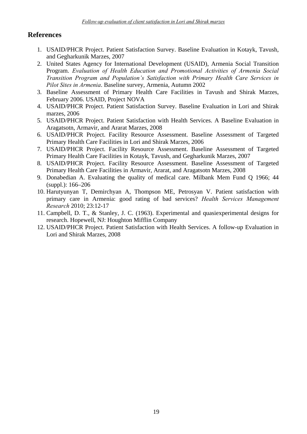## **References**

- 1. USAID/PHCR Project. Patient Satisfaction Survey. Baseline Evaluation in Kotayk, Tavush, and Gegharkunik Marzes, 2007
- 2. United States Agency for International Development (USAID), Armenia Social Transition Program. *Evaluation of Health Education and Promotional Activities of Armenia Social Transition Program and Population's Satisfaction with Primary Health Care Services in Pilot Sites in Armenia*. Baseline survey, Armenia, Autumn 2002
- 3. Baseline Assessment of Primary Health Care Facilities in Tavush and Shirak Marzes, February 2006. USAID, Project NOVA
- 4. USAID/PHCR Project. Patient Satisfaction Survey. Baseline Evaluation in Lori and Shirak marzes, 2006
- 5. USAID/PHCR Project. Patient Satisfaction with Health Services. A Baseline Evaluation in Aragatsotn, Armavir, and Ararat Marzes, 2008
- 6. USAID/PHCR Project. Facility Resource Assessment. Baseline Assessment of Targeted Primary Health Care Facilities in Lori and Shirak Marzes, 2006
- 7. USAID/PHCR Project. Facility Resource Assessment. Baseline Assessment of Targeted Primary Health Care Facilities in Kotayk, Tavush, and Gegharkunik Marzes, 2007
- 8. USAID/PHCR Project. Facility Resource Assessment. Baseline Assessment of Targeted Primary Health Care Facilities in Armavir, Ararat, and Aragatsotn Marzes, 2008
- 9. Donabedian A. Evaluating the quality of medical care. Milbank Mem Fund Q 1966; 44 (suppl.): 166–206
- 10. Harutyunyan T, Demirchyan A, Thompson ME, Petrosyan V. Patient satisfaction with primary care in Armenia: good rating of bad services? *Health Services Management Research* 2010; 23:12-17
- 11. Campbell, D. T., & Stanley, J. C. (1963). Experimental and quasiexperimental designs for research. Hopewell, NJ: Houghton Mifflin Company
- 12. USAID/PHCR Project. Patient Satisfaction with Health Services. A follow-up Evaluation in Lori and Shirak Marzes, 2008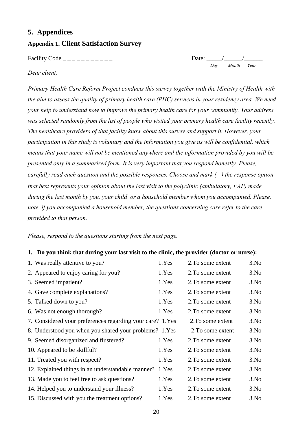## <span id="page-25-0"></span>**5. Appendices**

#### <span id="page-25-1"></span>**Appendix 1. Client Satisfaction Survey**

Facility Code  $\overline{\phantom{a}}$  \_ \_ \_ \_ \_ \_ \_ \_ \_ \_ \_ \_ \_ Date: \_

*Day Month Year*

#### *Dear client,*

*Primary Health Care Reform Project conducts this survey together with the Ministry of Health with the aim to assess the quality of primary health care (PHC) services in your residency area. We need your help to understand how to improve the primary health care for your community. Your address was selected randomly from the list of people who visited your primary health care facility recently. The healthcare providers of that facility know about this survey and support it. However, your participation in this study is voluntary and the information you give us will be confidential, which means that your name will not be mentioned anywhere and the information provided by you will be presented only in a summarized form. It is very important that you respond honestly. Please, carefully read each question and the possible responses. Choose and mark ( ) the response option that best represents your opinion about the last visit to the polyclinic (ambulatory, FAP) made during the last month by you, your child or a household member whom you accompanied. Please, note, if you accompanied a household member, the questions concerning care refer to the care provided to that person.* 

*Please, respond to the questions starting from the next page.* 

#### **1. Do you think that during your last visit to the clinic, the provider (doctor or nurse):**

| 1. Was really attentive to you?                            | 1.Yes | 2. To some extent | 3.No |
|------------------------------------------------------------|-------|-------------------|------|
| 2. Appeared to enjoy caring for you?                       | 1.Yes | 2. To some extent | 3.No |
| 3. Seemed impatient?                                       | 1.Yes | 2. To some extent | 3.No |
| 4. Gave complete explanations?                             | 1.Yes | 2. To some extent | 3.No |
| 5. Talked down to you?                                     | 1.Yes | 2. To some extent | 3.No |
| 6. Was not enough thorough?                                | 1.Yes | 2. To some extent | 3.No |
| 7. Considered your preferences regarding your care? 1. Yes |       | 2. To some extent | 3.No |
| 8. Understood you when you shared your problems? 1.Yes     |       | 2. To some extent | 3.No |
| 9. Seemed disorganized and flustered?                      | 1.Yes | 2. To some extent | 3.No |
| 10. Appeared to be skillful?                               | 1.Yes | 2. To some extent | 3.No |
| 11. Treated you with respect?                              | 1.Yes | 2. To some extent | 3.No |
| 12. Explained things in an understandable manner? 1. Yes   |       | 2. To some extent | 3.No |
| 13. Made you to feel free to ask questions?                | 1.Yes | 2. To some extent | 3.No |
| 14. Helped you to understand your illness?                 | 1.Yes | 2. To some extent | 3.No |
| 15. Discussed with you the treatment options?              | 1.Yes | 2. To some extent | 3.No |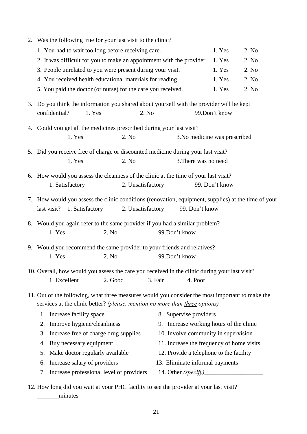| 2. Was the following true for your last visit to the clinic?                                        |                                           |                                         |                |       |  |  |  |  |  |  |  |
|-----------------------------------------------------------------------------------------------------|-------------------------------------------|-----------------------------------------|----------------|-------|--|--|--|--|--|--|--|
| 1. You had to wait too long before receiving care.<br>2. No<br>1. Yes                               |                                           |                                         |                |       |  |  |  |  |  |  |  |
| 2. It was difficult for you to make an appointment with the provider.                               |                                           |                                         | 1. Yes         | 2. No |  |  |  |  |  |  |  |
| 3. People unrelated to you were present during your visit.                                          |                                           | 1. Yes                                  | 2. No          |       |  |  |  |  |  |  |  |
| 4. You received health educational materials for reading.                                           |                                           | 1. Yes                                  | 2. No          |       |  |  |  |  |  |  |  |
| 5. You paid the doctor (or nurse) for the care you received.                                        |                                           | 1. Yes                                  | 2. No          |       |  |  |  |  |  |  |  |
| 3. Do you think the information you shared about yourself with the provider will be kept            |                                           |                                         |                |       |  |  |  |  |  |  |  |
| confidential?<br>2. No<br>1. Yes                                                                    |                                           |                                         | 99.Don't know  |       |  |  |  |  |  |  |  |
| 4. Could you get all the medicines prescribed during your last visit?                               |                                           |                                         |                |       |  |  |  |  |  |  |  |
| 1. Yes<br>2. No                                                                                     |                                           | 3. No medicine was prescribed           |                |       |  |  |  |  |  |  |  |
| 5. Did you receive free of charge or discounted medicine during your last visit?                    |                                           |                                         |                |       |  |  |  |  |  |  |  |
| 1. Yes<br>2. No                                                                                     |                                           | 3. There was no need                    |                |       |  |  |  |  |  |  |  |
|                                                                                                     |                                           |                                         |                |       |  |  |  |  |  |  |  |
| 6. How would you assess the cleanness of the clinic at the time of your last visit?                 |                                           |                                         |                |       |  |  |  |  |  |  |  |
| 1. Satisfactory<br>2. Unsatisfactory                                                                |                                           |                                         | 99. Don't know |       |  |  |  |  |  |  |  |
| 7. How would you assess the clinic conditions (renovation, equipment, supplies) at the time of your |                                           |                                         |                |       |  |  |  |  |  |  |  |
| last visit?<br>1. Satisfactory<br>2. Unsatisfactory                                                 |                                           | 99. Don't know                          |                |       |  |  |  |  |  |  |  |
| 8. Would you again refer to the same provider if you had a similar problem?                         |                                           |                                         |                |       |  |  |  |  |  |  |  |
| 2. No<br>1. Yes                                                                                     |                                           | 99.Don't know                           |                |       |  |  |  |  |  |  |  |
| 9. Would you recommend the same provider to your friends and relatives?                             |                                           |                                         |                |       |  |  |  |  |  |  |  |
| 1. Yes<br>2. No                                                                                     |                                           | 99.Don't know                           |                |       |  |  |  |  |  |  |  |
|                                                                                                     |                                           |                                         |                |       |  |  |  |  |  |  |  |
| 10. Overall, how would you assess the care you received in the clinic during your last visit?       |                                           |                                         |                |       |  |  |  |  |  |  |  |
| 1. Excellent<br>2. Good                                                                             | 3. Fair                                   | 4. Poor                                 |                |       |  |  |  |  |  |  |  |
| 11. Out of the following, what three measures would you consider the most important to make the     |                                           |                                         |                |       |  |  |  |  |  |  |  |
| services at the clinic better? (please, mention no more than three options)                         |                                           |                                         |                |       |  |  |  |  |  |  |  |
| Increase facility space<br>1.                                                                       |                                           | 8. Supervise providers                  |                |       |  |  |  |  |  |  |  |
| Improve hygiene/cleanliness<br>2.                                                                   | 9. Increase working hours of the clinic   |                                         |                |       |  |  |  |  |  |  |  |
| Increase free of charge drug supplies<br>3.                                                         |                                           | 10. Involve community in supervision    |                |       |  |  |  |  |  |  |  |
| Buy necessary equipment<br>4.                                                                       | 11. Increase the frequency of home visits |                                         |                |       |  |  |  |  |  |  |  |
| Make doctor regularly available<br>5.                                                               |                                           | 12. Provide a telephone to the facility |                |       |  |  |  |  |  |  |  |
| Increase salary of providers<br>6.                                                                  |                                           | 13. Eliminate informal payments         |                |       |  |  |  |  |  |  |  |
| Increase professional level of providers<br>7.                                                      |                                           |                                         |                |       |  |  |  |  |  |  |  |
|                                                                                                     |                                           |                                         |                |       |  |  |  |  |  |  |  |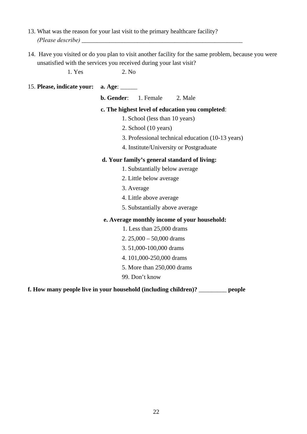- 13. What was the reason for your last visit to the primary healthcare facility? *(Please describe)* \_\_\_\_\_\_\_\_\_\_\_\_\_\_\_\_\_\_\_\_\_\_\_\_\_\_\_\_\_\_\_\_\_\_\_\_\_\_\_\_\_\_\_\_\_\_\_\_\_\_\_\_
- 14. Have you visited or do you plan to visit another facility for the same problem, because you were unsatisfied with the services you received during your last visit?

1. Yes 2. No

#### 15. **Please, indicate your: a. Age**: \_\_\_\_\_\_

**b. Gender:** 1. Female 2. Male

#### **c. The highest level of education you completed**:

- 1. School (less than 10 years)
- 2. School (10 years)
- 3. Professional technical education (10-13 years)
- 4. Institute/University or Postgraduate

#### **d. Your family's general standard of living:**

- 1. Substantially below average
- 2. Little below average
- 3. Average
- 4. Little above average
- 5. Substantially above average

#### **e. Average monthly income of your household:**

- 1. Less than 25,000 drams
- 2. 25,000 50,000 drams
- 3. 51,000-100,000 drams
- 4. 101,000-250,000 drams
- 5. More than 250,000 drams
- 99. Don't know

#### **f. How many people live in your household (including children)?** \_\_\_\_\_\_\_\_\_ **people**